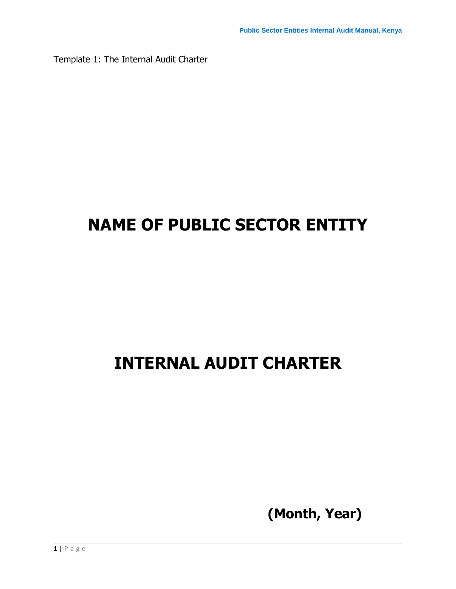Template 1: The Internal Audit Charter

# **NAME OF PUBLIC SECTOR ENTITY**

# **INTERNAL AUDIT CHARTER**

**(Month, Year)**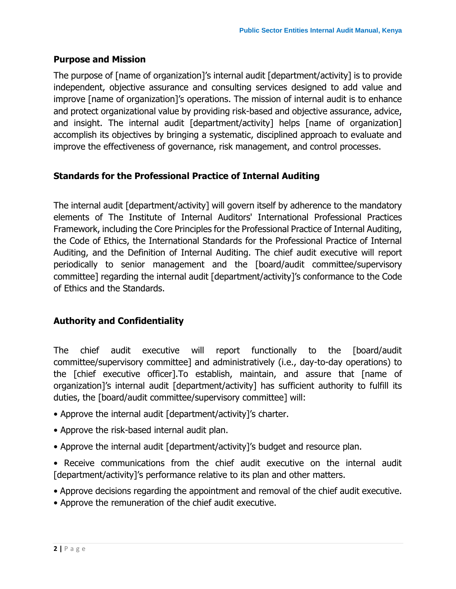### **Purpose and Mission**

The purpose of [name of organization]'s internal audit [department/activity] is to provide independent, objective assurance and consulting services designed to add value and improve [name of organization]'s operations. The mission of internal audit is to enhance and protect organizational value by providing risk-based and objective assurance, advice, and insight. The internal audit [department/activity] helps [name of organization] accomplish its objectives by bringing a systematic, disciplined approach to evaluate and improve the effectiveness of governance, risk management, and control processes.

## **Standards for the Professional Practice of Internal Auditing**

The internal audit [department/activity] will govern itself by adherence to the mandatory elements of The Institute of Internal Auditors' International Professional Practices Framework, including the Core Principles for the Professional Practice of Internal Auditing, the Code of Ethics, the International Standards for the Professional Practice of Internal Auditing, and the Definition of Internal Auditing. The chief audit executive will report periodically to senior management and the [board/audit committee/supervisory committee] regarding the internal audit [department/activity]'s conformance to the Code of Ethics and the Standards.

# **Authority and Confidentiality**

The chief audit executive will report functionally to the [board/audit committee/supervisory committee] and administratively (i.e., day-to-day operations) to the [chief executive officer].To establish, maintain, and assure that [name of organization]'s internal audit [department/activity] has sufficient authority to fulfill its duties, the [board/audit committee/supervisory committee] will:

- Approve the internal audit [department/activity]'s charter.
- Approve the risk-based internal audit plan.
- Approve the internal audit [department/activity]'s budget and resource plan.
- Receive communications from the chief audit executive on the internal audit [department/activity]'s performance relative to its plan and other matters.
- Approve decisions regarding the appointment and removal of the chief audit executive.
- Approve the remuneration of the chief audit executive.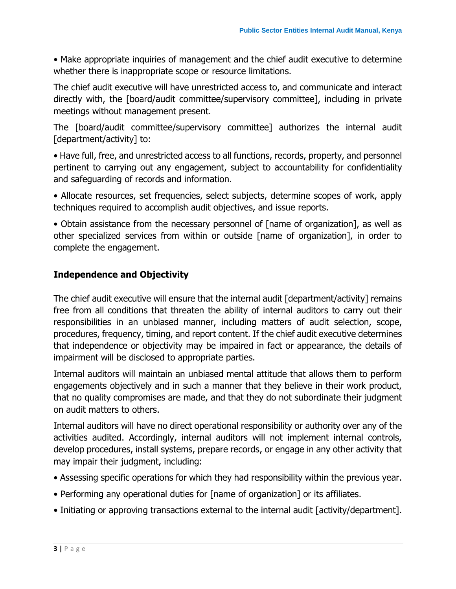• Make appropriate inquiries of management and the chief audit executive to determine whether there is inappropriate scope or resource limitations.

The chief audit executive will have unrestricted access to, and communicate and interact directly with, the [board/audit committee/supervisory committee], including in private meetings without management present.

The [board/audit committee/supervisory committee] authorizes the internal audit [department/activity] to:

• Have full, free, and unrestricted access to all functions, records, property, and personnel pertinent to carrying out any engagement, subject to accountability for confidentiality and safeguarding of records and information.

• Allocate resources, set frequencies, select subjects, determine scopes of work, apply techniques required to accomplish audit objectives, and issue reports.

• Obtain assistance from the necessary personnel of [name of organization], as well as other specialized services from within or outside [name of organization], in order to complete the engagement.

## **Independence and Objectivity**

The chief audit executive will ensure that the internal audit [department/activity] remains free from all conditions that threaten the ability of internal auditors to carry out their responsibilities in an unbiased manner, including matters of audit selection, scope, procedures, frequency, timing, and report content. If the chief audit executive determines that independence or objectivity may be impaired in fact or appearance, the details of impairment will be disclosed to appropriate parties.

Internal auditors will maintain an unbiased mental attitude that allows them to perform engagements objectively and in such a manner that they believe in their work product, that no quality compromises are made, and that they do not subordinate their judgment on audit matters to others.

Internal auditors will have no direct operational responsibility or authority over any of the activities audited. Accordingly, internal auditors will not implement internal controls, develop procedures, install systems, prepare records, or engage in any other activity that may impair their judgment, including:

- Assessing specific operations for which they had responsibility within the previous year.
- Performing any operational duties for [name of organization] or its affiliates.
- Initiating or approving transactions external to the internal audit [activity/department].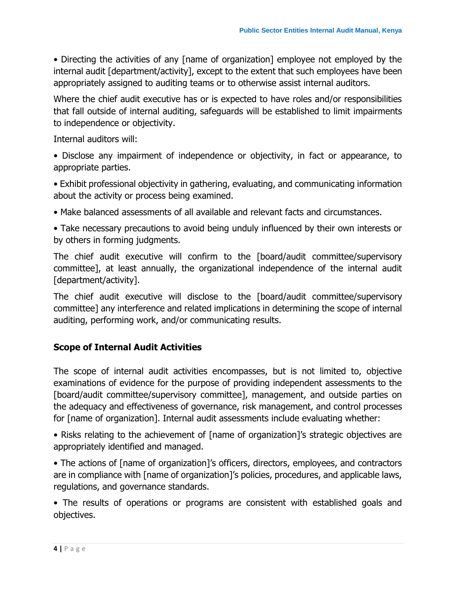• Directing the activities of any [name of organization] employee not employed by the internal audit [department/activity], except to the extent that such employees have been appropriately assigned to auditing teams or to otherwise assist internal auditors.

Where the chief audit executive has or is expected to have roles and/or responsibilities that fall outside of internal auditing, safeguards will be established to limit impairments to independence or objectivity.

Internal auditors will:

• Disclose any impairment of independence or objectivity, in fact or appearance, to appropriate parties.

• Exhibit professional objectivity in gathering, evaluating, and communicating information about the activity or process being examined.

• Make balanced assessments of all available and relevant facts and circumstances.

• Take necessary precautions to avoid being unduly influenced by their own interests or by others in forming judgments.

The chief audit executive will confirm to the [board/audit committee/supervisory committee], at least annually, the organizational independence of the internal audit [department/activity].

The chief audit executive will disclose to the [board/audit committee/supervisory committee] any interference and related implications in determining the scope of internal auditing, performing work, and/or communicating results.

## **Scope of Internal Audit Activities**

The scope of internal audit activities encompasses, but is not limited to, objective examinations of evidence for the purpose of providing independent assessments to the [board/audit committee/supervisory committee], management, and outside parties on the adequacy and effectiveness of governance, risk management, and control processes for [name of organization]. Internal audit assessments include evaluating whether:

• Risks relating to the achievement of [name of organization]'s strategic objectives are appropriately identified and managed.

• The actions of [name of organization]'s officers, directors, employees, and contractors are in compliance with [name of organization]'s policies, procedures, and applicable laws, regulations, and governance standards.

• The results of operations or programs are consistent with established goals and objectives.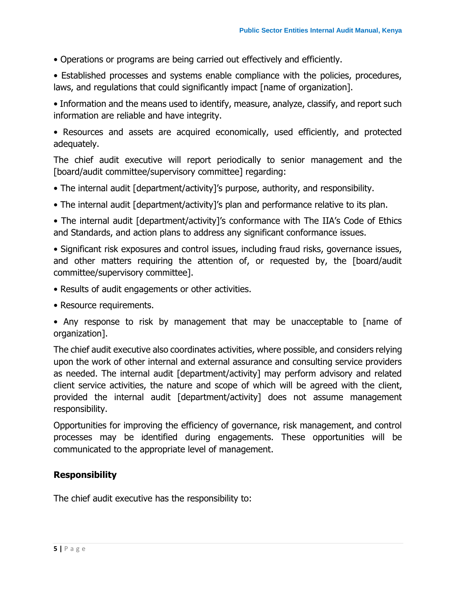• Operations or programs are being carried out effectively and efficiently.

• Established processes and systems enable compliance with the policies, procedures, laws, and regulations that could significantly impact [name of organization].

• Information and the means used to identify, measure, analyze, classify, and report such information are reliable and have integrity.

• Resources and assets are acquired economically, used efficiently, and protected adequately.

The chief audit executive will report periodically to senior management and the [board/audit committee/supervisory committee] regarding:

- The internal audit [department/activity]'s purpose, authority, and responsibility.
- The internal audit [department/activity]'s plan and performance relative to its plan.

• The internal audit [department/activity]'s conformance with The IIA's Code of Ethics and Standards, and action plans to address any significant conformance issues.

• Significant risk exposures and control issues, including fraud risks, governance issues, and other matters requiring the attention of, or requested by, the [board/audit committee/supervisory committee].

- Results of audit engagements or other activities.
- Resource requirements.

• Any response to risk by management that may be unacceptable to [name of organization].

The chief audit executive also coordinates activities, where possible, and considers relying upon the work of other internal and external assurance and consulting service providers as needed. The internal audit [department/activity] may perform advisory and related client service activities, the nature and scope of which will be agreed with the client, provided the internal audit [department/activity] does not assume management responsibility.

Opportunities for improving the efficiency of governance, risk management, and control processes may be identified during engagements. These opportunities will be communicated to the appropriate level of management.

### **Responsibility**

The chief audit executive has the responsibility to: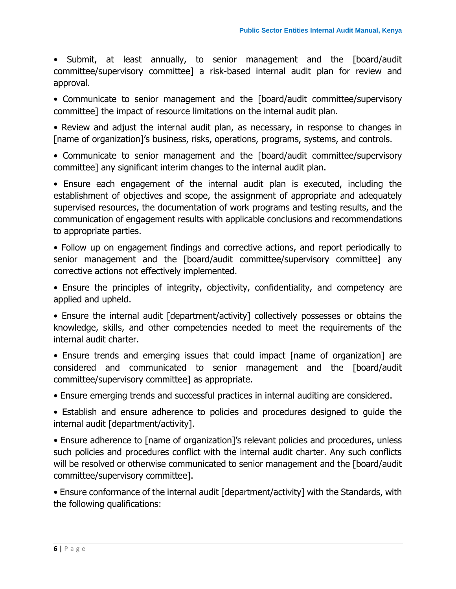• Submit, at least annually, to senior management and the [board/audit committee/supervisory committee] a risk-based internal audit plan for review and approval.

• Communicate to senior management and the [board/audit committee/supervisory committee] the impact of resource limitations on the internal audit plan.

• Review and adjust the internal audit plan, as necessary, in response to changes in [name of organization]'s business, risks, operations, programs, systems, and controls.

• Communicate to senior management and the [board/audit committee/supervisory committee] any significant interim changes to the internal audit plan.

• Ensure each engagement of the internal audit plan is executed, including the establishment of objectives and scope, the assignment of appropriate and adequately supervised resources, the documentation of work programs and testing results, and the communication of engagement results with applicable conclusions and recommendations to appropriate parties.

• Follow up on engagement findings and corrective actions, and report periodically to senior management and the [board/audit committee/supervisory committee] any corrective actions not effectively implemented.

• Ensure the principles of integrity, objectivity, confidentiality, and competency are applied and upheld.

• Ensure the internal audit [department/activity] collectively possesses or obtains the knowledge, skills, and other competencies needed to meet the requirements of the internal audit charter.

• Ensure trends and emerging issues that could impact [name of organization] are considered and communicated to senior management and the [board/audit committee/supervisory committee] as appropriate.

• Ensure emerging trends and successful practices in internal auditing are considered.

• Establish and ensure adherence to policies and procedures designed to guide the internal audit [department/activity].

• Ensure adherence to [name of organization]'s relevant policies and procedures, unless such policies and procedures conflict with the internal audit charter. Any such conflicts will be resolved or otherwise communicated to senior management and the [board/audit committee/supervisory committee].

• Ensure conformance of the internal audit [department/activity] with the Standards, with the following qualifications: